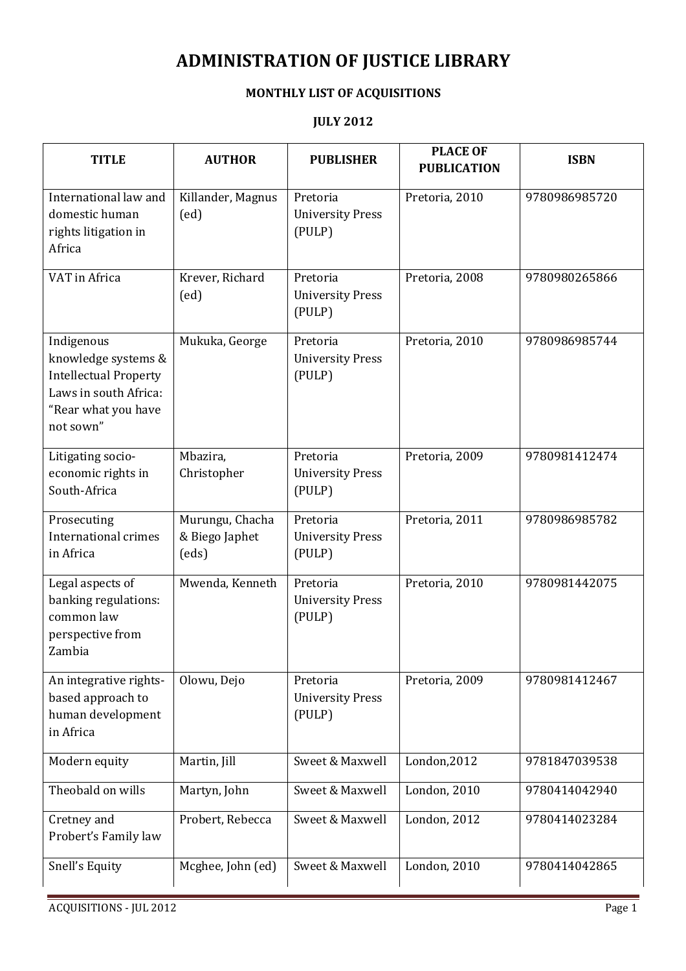## ADMINISTRATION OF JUSTICE LIBRARY

## MONTHLY LIST OF ACQUISITIONS

## JULY 2012

| <b>TITLE</b>                                                                                                                   | <b>AUTHOR</b>                              | <b>PUBLISHER</b>                              | <b>PLACE OF</b><br><b>PUBLICATION</b> | <b>ISBN</b>   |
|--------------------------------------------------------------------------------------------------------------------------------|--------------------------------------------|-----------------------------------------------|---------------------------------------|---------------|
| International law and<br>domestic human<br>rights litigation in<br>Africa                                                      | Killander, Magnus<br>(ed)                  | Pretoria<br><b>University Press</b><br>(PULP) | Pretoria, 2010                        | 9780986985720 |
| VAT in Africa                                                                                                                  | Krever, Richard<br>(ed)                    | Pretoria<br><b>University Press</b><br>(PULP) | Pretoria, 2008                        | 9780980265866 |
| Indigenous<br>knowledge systems &<br><b>Intellectual Property</b><br>Laws in south Africa:<br>"Rear what you have<br>not sown" | Mukuka, George                             | Pretoria<br><b>University Press</b><br>(PULP) | Pretoria, 2010                        | 9780986985744 |
| Litigating socio-<br>economic rights in<br>South-Africa                                                                        | Mbazira,<br>Christopher                    | Pretoria<br><b>University Press</b><br>(PULP) | Pretoria, 2009                        | 9780981412474 |
| Prosecuting<br>International crimes<br>in Africa                                                                               | Murungu, Chacha<br>& Biego Japhet<br>(eds) | Pretoria<br><b>University Press</b><br>(PULP) | Pretoria, 2011                        | 9780986985782 |
| Legal aspects of<br>banking regulations:<br>common law<br>perspective from<br>Zambia                                           | Mwenda, Kenneth                            | Pretoria<br><b>University Press</b><br>(PULP) | Pretoria, 2010                        | 9780981442075 |
| An integrative rights-<br>based approach to<br>human development<br>in Africa                                                  | Olowu, Dejo                                | Pretoria<br><b>University Press</b><br>(PULP) | Pretoria, 2009                        | 9780981412467 |
| Modern equity                                                                                                                  | Martin, Jill                               | Sweet & Maxwell                               | London, 2012                          | 9781847039538 |
| Theobald on wills                                                                                                              | Martyn, John                               | Sweet & Maxwell                               | London, 2010                          | 9780414042940 |
| Cretney and<br>Probert's Family law                                                                                            | Probert, Rebecca                           | Sweet & Maxwell                               | London, $2012$                        | 9780414023284 |
| Snell's Equity                                                                                                                 | Mcghee, John (ed)                          | Sweet & Maxwell                               | London, $2010$                        | 9780414042865 |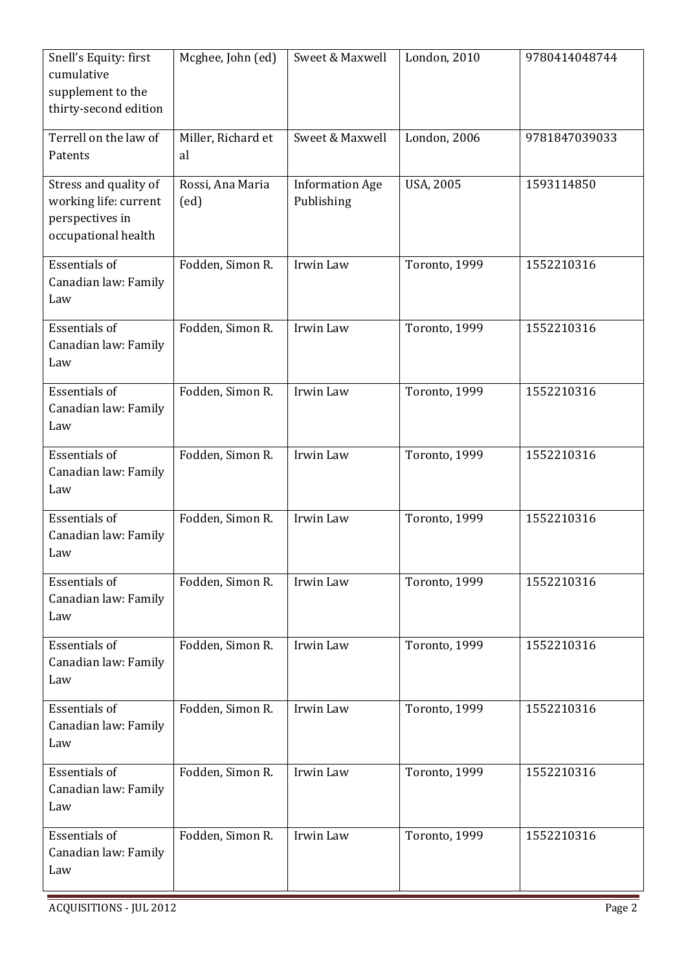| Snell's Equity: first<br>cumulative<br>supplement to the<br>thirty-second edition        | Mcghee, John (ed)        | Sweet & Maxwell                      | London, 2010     | 9780414048744 |
|------------------------------------------------------------------------------------------|--------------------------|--------------------------------------|------------------|---------------|
| Terrell on the law of<br>Patents                                                         | Miller, Richard et<br>al | Sweet & Maxwell                      | London, 2006     | 9781847039033 |
| Stress and quality of<br>working life: current<br>perspectives in<br>occupational health | Rossi, Ana Maria<br>(ed) | <b>Information Age</b><br>Publishing | <b>USA, 2005</b> | 1593114850    |
| <b>Essentials of</b><br>Canadian law: Family<br>Law                                      | Fodden, Simon R.         | Irwin Law                            | Toronto, 1999    | 1552210316    |
| <b>Essentials of</b><br>Canadian law: Family<br>Law                                      | Fodden, Simon R.         | Irwin Law                            | Toronto, 1999    | 1552210316    |
| <b>Essentials of</b><br>Canadian law: Family<br>Law                                      | Fodden, Simon R.         | Irwin Law                            | Toronto, 1999    | 1552210316    |
| <b>Essentials of</b><br>Canadian law: Family<br>Law                                      | Fodden, Simon R.         | Irwin Law                            | Toronto, 1999    | 1552210316    |
| <b>Essentials of</b><br>Canadian law: Family<br>Law                                      | Fodden, Simon R.         | Irwin Law                            | Toronto, 1999    | 1552210316    |
| <b>Essentials of</b><br>Canadian law: Family<br>Law                                      | Fodden, Simon R.         | Irwin Law                            | Toronto, 1999    | 1552210316    |
| <b>Essentials of</b><br>Canadian law: Family<br>Law                                      | Fodden, Simon R.         | Irwin Law                            | Toronto, 1999    | 1552210316    |
| <b>Essentials of</b><br>Canadian law: Family<br>Law                                      | Fodden, Simon R.         | Irwin Law                            | Toronto, 1999    | 1552210316    |
| <b>Essentials of</b><br>Canadian law: Family<br>Law                                      | Fodden, Simon R.         | Irwin Law                            | Toronto, 1999    | 1552210316    |
| <b>Essentials of</b><br>Canadian law: Family<br>Law                                      | Fodden, Simon R.         | Irwin Law                            | Toronto, 1999    | 1552210316    |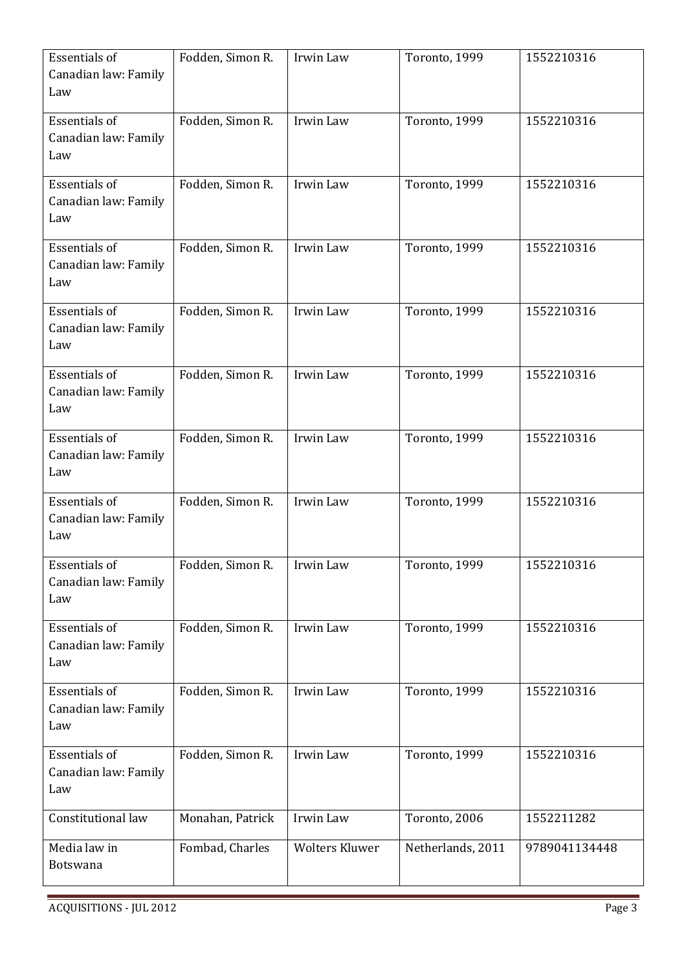| <b>Essentials of</b><br>Canadian law: Family<br>Law | Fodden, Simon R. | Irwin Law             | Toronto, 1999     | 1552210316    |
|-----------------------------------------------------|------------------|-----------------------|-------------------|---------------|
| <b>Essentials of</b><br>Canadian law: Family<br>Law | Fodden, Simon R. | Irwin Law             | Toronto, 1999     | 1552210316    |
| <b>Essentials of</b><br>Canadian law: Family<br>Law | Fodden, Simon R. | Irwin Law             | Toronto, 1999     | 1552210316    |
| Essentials of<br>Canadian law: Family<br>Law        | Fodden, Simon R. | Irwin Law             | Toronto, 1999     | 1552210316    |
| Essentials of<br>Canadian law: Family<br>Law        | Fodden, Simon R. | Irwin Law             | Toronto, 1999     | 1552210316    |
| <b>Essentials of</b><br>Canadian law: Family<br>Law | Fodden, Simon R. | Irwin Law             | Toronto, 1999     | 1552210316    |
| <b>Essentials of</b><br>Canadian law: Family<br>Law | Fodden, Simon R. | Irwin Law             | Toronto, 1999     | 1552210316    |
| <b>Essentials of</b><br>Canadian law: Family<br>Law | Fodden, Simon R. | Irwin Law             | Toronto, 1999     | 1552210316    |
| Essentials of<br>Canadian law: Family<br>Law        | Fodden, Simon R. | Irwin Law             | Toronto, 1999     | 1552210316    |
| <b>Essentials of</b><br>Canadian law: Family<br>Law | Fodden, Simon R. | Irwin Law             | Toronto, 1999     | 1552210316    |
| <b>Essentials of</b><br>Canadian law: Family<br>Law | Fodden, Simon R. | Irwin Law             | Toronto, 1999     | 1552210316    |
| <b>Essentials of</b><br>Canadian law: Family<br>Law | Fodden, Simon R. | Irwin Law             | Toronto, 1999     | 1552210316    |
| Constitutional law                                  | Monahan, Patrick | Irwin Law             | Toronto, 2006     | 1552211282    |
| Media law in<br>Botswana                            | Fombad, Charles  | <b>Wolters Kluwer</b> | Netherlands, 2011 | 9789041134448 |